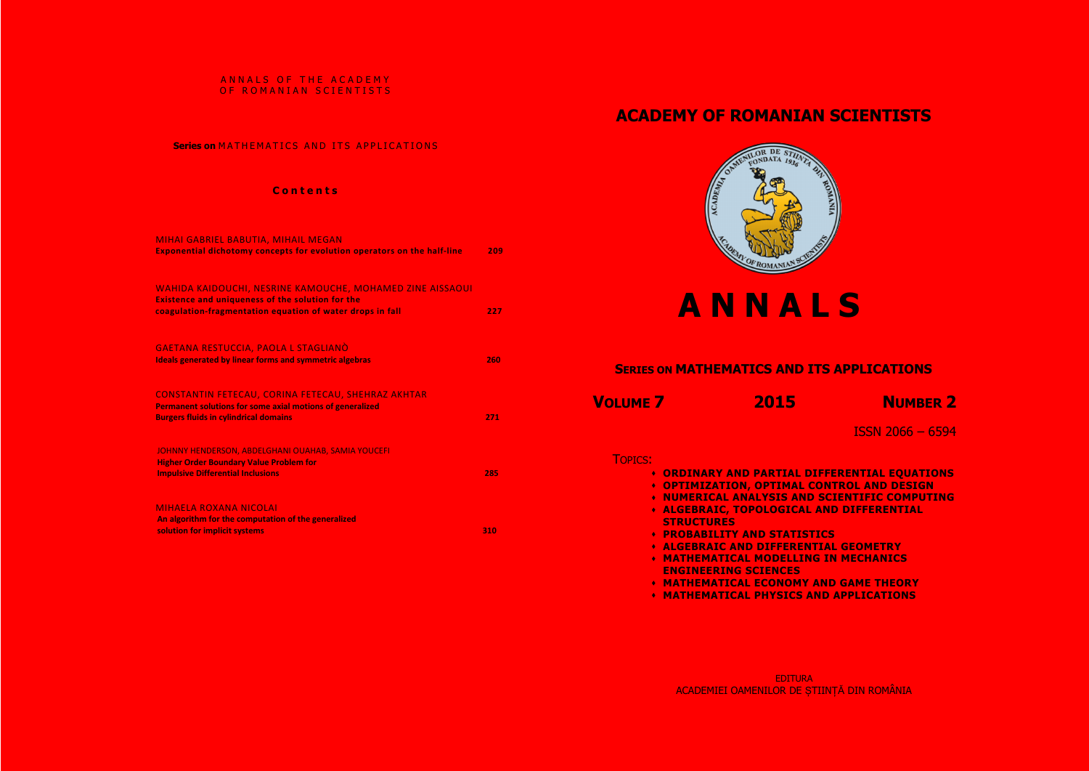#### ANNALS OF THE ACADEMY OF ROMANIAN SCIENTISTS

### **Series on MATHEMATICS AND ITS APPLICATIONS**

#### **c**  $\theta$  **n**  $\theta$  **r e**  $\theta$  **r s**

 **ORDINARY AND PARTIAL DIFFERENTIAL EQUATIONS OPTIMIZATION, OPTIMAL CONTROL AND DESIGN NUMERICAL ANALYSIS AND SCIENTIFIC COMPUTING ALGEBRAIC** 

| MIHAI GABRIEL BABUTIA, MIHAIL MEGAN<br>Exponential dichotomy concepts for evolution operators on the half-line                                                                    | 209 |
|-----------------------------------------------------------------------------------------------------------------------------------------------------------------------------------|-----|
| WAHIDA KAIDOUCHI, NESRINE KAMOUCHE, MOHAMED ZINE AISSAOUI<br><b>Existence and uniqueness of the solution for the</b><br>coagulation-fragmentation equation of water drops in fall | 227 |
| <u>GAETANA RESTUCCIA, PAOLA L STAGLIANÒ</u><br><b>Ideals generated by linear forms and symmetric algebras</b>                                                                     | 260 |
| CONSTANTIN FETECAU, CORINA FETECAU, SHEHRAZ AKHTAR<br>Permanent solutions for some axial motions of generalized<br><b>Burgers fluids in cylindrical domains</b>                   | 271 |
| JOHNNY HENDERSON, ABDELGHANI OUAHAB, SAMIA YOUCEFI<br><b>Higher Order Boundary Value Problem for</b><br><b>Impulsive Differential Inclusions</b>                                  | 285 |
| <b>MIHAELA ROXANA NICOLAI</b><br>An algorithm for the computation of the generalized<br>solution for implicit systems                                                             | 310 |

 **MATHEMATICAL ECONOMY AND GAME THEORY MAPPLICATIONS** 

# **ACADEMY OF ROMANIAN SCIENTISTS**



# **A N N A L S**

ISSN 2066 – 6594

|                 | <b>SERIES ON MATHEMATICS AND ITS</b>                                                                                                                                                                                                                                                                                                                                                                         |
|-----------------|--------------------------------------------------------------------------------------------------------------------------------------------------------------------------------------------------------------------------------------------------------------------------------------------------------------------------------------------------------------------------------------------------------------|
| <b>VOLUME 7</b> | 2015                                                                                                                                                                                                                                                                                                                                                                                                         |
| <b>TOPICS:</b>  | <b>• ORDINARY AND PARTIAL DIFFE</b><br><b>• OPTIMIZATION, OPTIMAL CONT</b><br><b>* NUMERICAL ANALYSIS AND SCI</b><br><b>* ALGEBRAIC, TOPOLOGICAL AND</b><br><b>STRUCTURES</b><br><b>• PROBABILITY AND STATISTICS</b><br><b>* ALGEBRAIC AND DIFFERENTIAL</b><br><b>• MATHEMATICAL MODELLING IN</b><br><b>ENGINEERING SCIENCES</b><br><b>• MATHEMATICAL ECONOMY AND</b><br><u>* MATHÉMATICAL PHYSICS AND .</u> |

 **ALGEBRAIC AND DIFFERENTIAL GEOMETRY MATHEMATICAL MODELLING IN MECHANICS**



## **S** APPLICATIONS

**NUMBER 2**